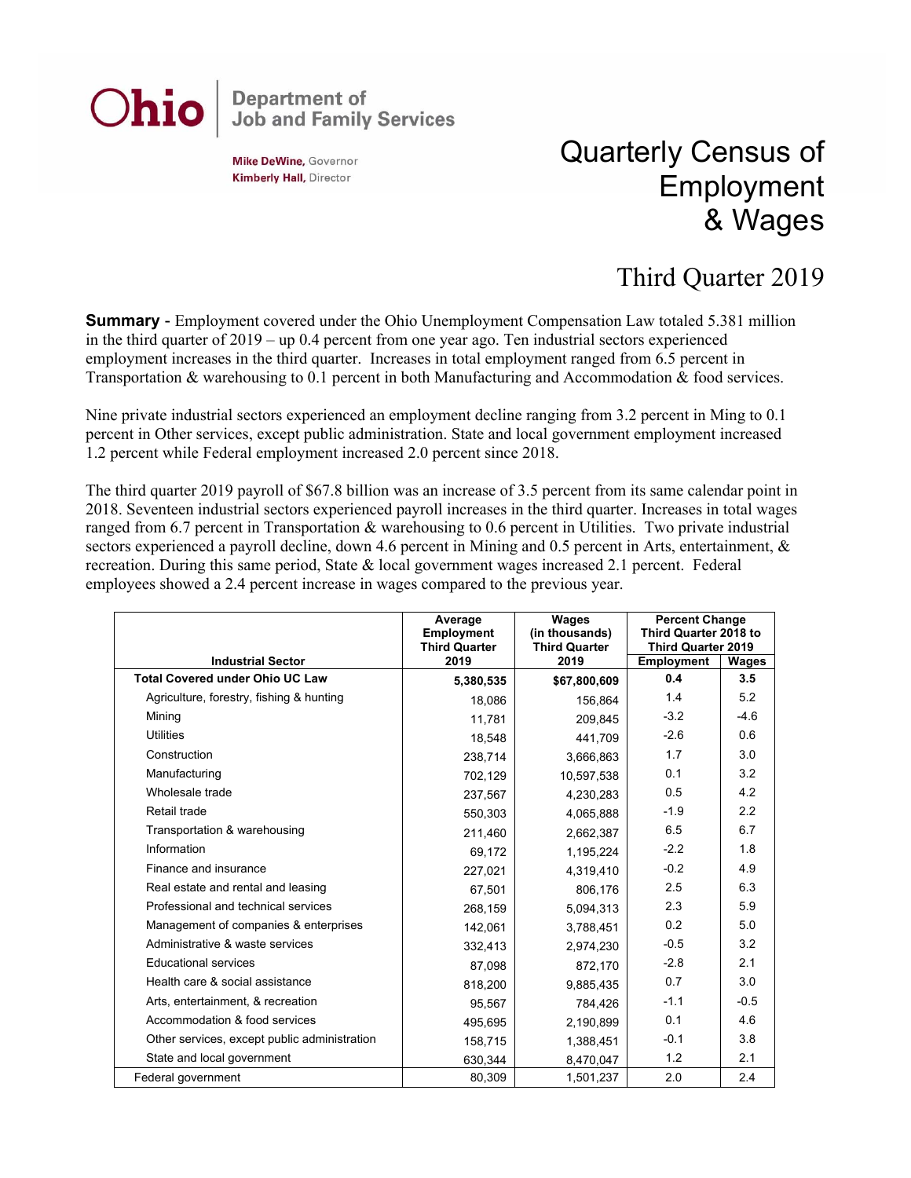## **Department of<br>Job and Family Services** Ohio

**Mike DeWine, Governor Kimberly Hall, Director** 

## Quarterly Census of Employment & Wages

## Third Quarter 2019

**Summary** - Employment covered under the Ohio Unemployment Compensation Law totaled 5.381 million in the third quarter of 2019 – up 0.4 percent from one year ago. Ten industrial sectors experienced employment increases in the third quarter. Increases in total employment ranged from 6.5 percent in Transportation & warehousing to 0.1 percent in both Manufacturing and Accommodation & food services.

Nine private industrial sectors experienced an employment decline ranging from 3.2 percent in Ming to 0.1 percent in Other services, except public administration. State and local government employment increased 1.2 percent while Federal employment increased 2.0 percent since 2018.

The third quarter 2019 payroll of \$67.8 billion was an increase of 3.5 percent from its same calendar point in 2018. Seventeen industrial sectors experienced payroll increases in the third quarter. Increases in total wages ranged from 6.7 percent in Transportation & warehousing to 0.6 percent in Utilities. Two private industrial sectors experienced a payroll decline, down 4.6 percent in Mining and 0.5 percent in Arts, entertainment, & recreation. During this same period, State & local government wages increased 2.1 percent. Federal employees showed a 2.4 percent increase in wages compared to the previous year.

|                                              | Average<br><b>Employment</b><br><b>Third Quarter</b> | Wages<br>(in thousands)<br><b>Third Quarter</b> | <b>Percent Change</b><br>Third Quarter 2018 to<br><b>Third Quarter 2019</b> |        |
|----------------------------------------------|------------------------------------------------------|-------------------------------------------------|-----------------------------------------------------------------------------|--------|
| <b>Industrial Sector</b>                     | 2019                                                 | 2019                                            | <b>Employment</b>                                                           | Wages  |
| <b>Total Covered under Ohio UC Law</b>       | 5,380,535                                            | \$67,800,609                                    | 0.4                                                                         | 3.5    |
| Agriculture, forestry, fishing & hunting     | 18.086                                               | 156.864                                         | 1.4                                                                         | 5.2    |
| Minina                                       | 11,781                                               | 209,845                                         | $-3.2$                                                                      | $-4.6$ |
| <b>Utilities</b>                             | 18,548                                               | 441,709                                         | $-2.6$                                                                      | 0.6    |
| Construction                                 | 238.714                                              | 3,666,863                                       | 1.7                                                                         | 3.0    |
| Manufacturing                                | 702,129                                              | 10,597,538                                      | 0.1                                                                         | 3.2    |
| Wholesale trade                              | 237,567                                              | 4,230,283                                       | 0.5                                                                         | 4.2    |
| Retail trade                                 | 550.303                                              | 4,065,888                                       | $-1.9$                                                                      | 2.2    |
| Transportation & warehousing                 | 211,460                                              | 2,662,387                                       | 6.5                                                                         | 6.7    |
| Information                                  | 69,172                                               | 1,195,224                                       | $-2.2$                                                                      | 1.8    |
| Finance and insurance                        | 227,021                                              | 4,319,410                                       | $-0.2$                                                                      | 4.9    |
| Real estate and rental and leasing           | 67,501                                               | 806,176                                         | 2.5                                                                         | 6.3    |
| Professional and technical services          | 268,159                                              | 5,094,313                                       | 2.3                                                                         | 5.9    |
| Management of companies & enterprises        | 142,061                                              | 3,788,451                                       | 0.2                                                                         | 5.0    |
| Administrative & waste services              | 332,413                                              | 2,974,230                                       | $-0.5$                                                                      | 3.2    |
| <b>Educational services</b>                  | 87,098                                               | 872,170                                         | $-2.8$                                                                      | 2.1    |
| Health care & social assistance              | 818,200                                              | 9,885,435                                       | 0.7                                                                         | 3.0    |
| Arts, entertainment, & recreation            | 95,567                                               | 784.426                                         | $-1.1$                                                                      | $-0.5$ |
| Accommodation & food services                | 495,695                                              | 2,190,899                                       | 0.1                                                                         | 4.6    |
| Other services, except public administration | 158,715                                              | 1,388,451                                       | $-0.1$                                                                      | 3.8    |
| State and local government                   | 630,344                                              | 8,470,047                                       | 1.2                                                                         | 2.1    |
| Federal government                           | 80,309                                               | 1,501,237                                       | 2.0                                                                         | 2.4    |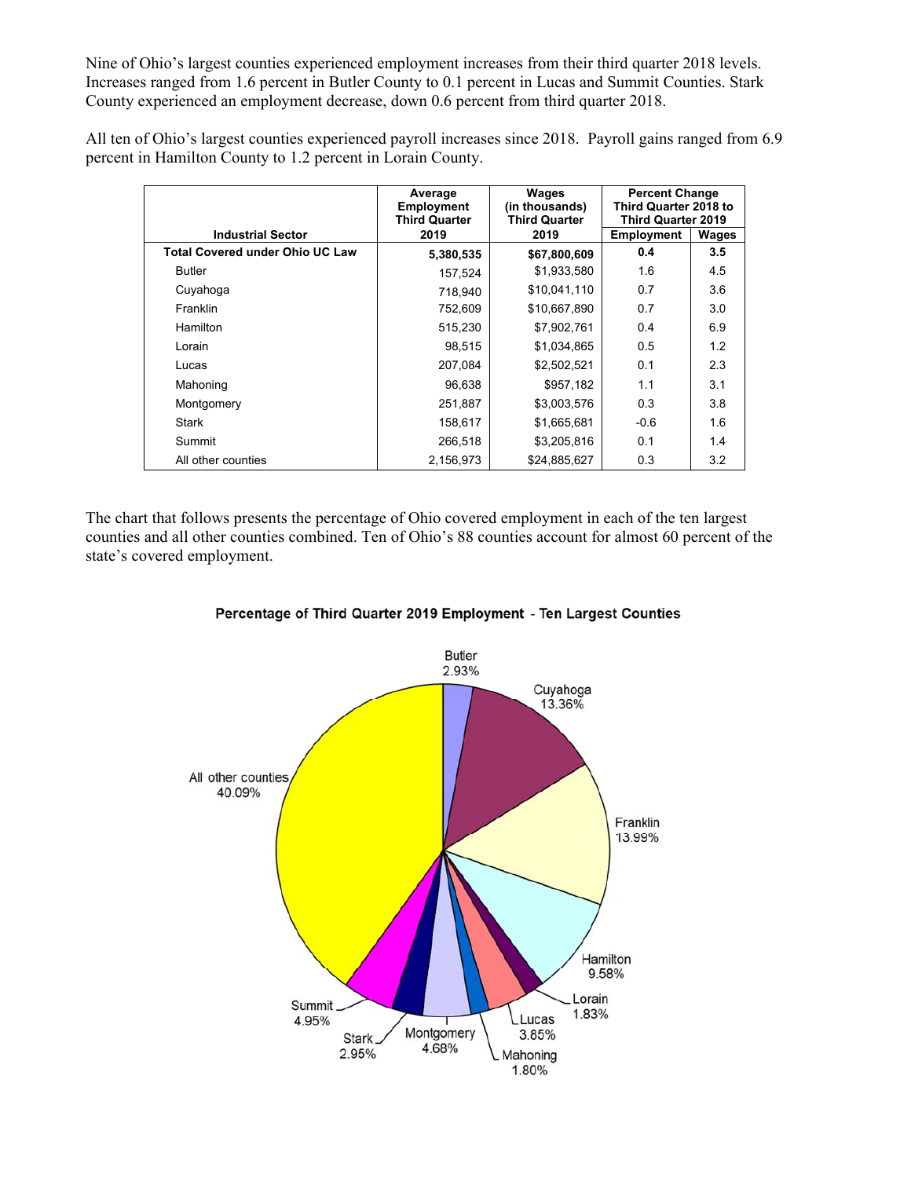Nine of Ohio's largest counties experienced employment increases from their third quarter 2018 levels. Increases ranged from 1.6 percent in Butler County to 0.1 percent in Lucas and Summit Counties. Stark County experienced an employment decrease, down 0.6 percent from third quarter 2018.

All ten of Ohio's largest counties experienced payroll increases since 2018. Payroll gains ranged from 6.9 percent in Hamilton County to 1.2 percent in Lorain County.

|                                        | Average<br><b>Employment</b><br><b>Third Quarter</b> | Wages<br>(in thousands)<br><b>Third Quarter</b> | <b>Percent Change</b><br>Third Quarter 2018 to<br><b>Third Quarter 2019</b> |       |
|----------------------------------------|------------------------------------------------------|-------------------------------------------------|-----------------------------------------------------------------------------|-------|
| <b>Industrial Sector</b>               | 2019                                                 | 2019                                            | Employment                                                                  | Wages |
| <b>Total Covered under Ohio UC Law</b> | 5,380,535                                            | \$67,800,609                                    | 0.4                                                                         | 3.5   |
| <b>Butler</b>                          | 157,524                                              | \$1,933,580                                     | 1.6                                                                         | 4.5   |
| Cuyahoga                               | 718,940                                              | \$10,041,110                                    | 0.7                                                                         | 3.6   |
| Franklin                               | 752,609                                              | \$10,667,890                                    | 0.7                                                                         | 3.0   |
| Hamilton                               | 515,230                                              | \$7,902,761                                     | 0.4                                                                         | 6.9   |
| Lorain                                 | 98,515                                               | \$1,034,865                                     | 0.5                                                                         | 1.2   |
| Lucas                                  | 207,084                                              | \$2,502,521                                     | 0.1                                                                         | 2.3   |
| Mahoning                               | 96,638                                               | \$957,182                                       | 1.1                                                                         | 3.1   |
| Montgomery                             | 251.887                                              | \$3,003,576                                     | 0.3                                                                         | 3.8   |
| <b>Stark</b>                           | 158,617                                              | \$1,665,681                                     | $-0.6$                                                                      | 1.6   |
| Summit                                 | 266,518                                              | \$3,205,816                                     | 0.1                                                                         | 1.4   |
| All other counties                     | 2,156,973                                            | \$24,885,627                                    | 0.3                                                                         | 3.2   |

The chart that follows presents the percentage of Ohio covered employment in each of the ten largest counties and all other counties combined. Ten of Ohio's 88 counties account for almost 60 percent of the state's covered employment.



Percentage of Third Quarter 2019 Employment - Ten Largest Counties